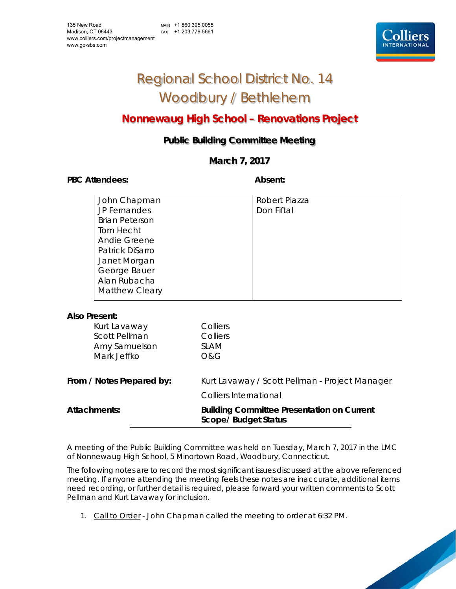MAIN +1 860 395 0055 FAX +1 203 779 5661



## Regional School District No. 14 Woodbury / Bethlehem

### **Nonnewaug High School – Renovations Project**

### **Public Building Committee Meeting**

### **March 7, 2017**

PBC Attendees: **Absent: Absent: Absent: Absent: Absent:** 

| John Chapman          | Robert Piazza |
|-----------------------|---------------|
| <b>JP Fernandes</b>   | Don Fiftal    |
| <b>Brian Peterson</b> |               |
| Tom Hecht             |               |
| Andie Greene          |               |
| Patrick DiSarro       |               |
| Janet Morgan          |               |
| George Bauer          |               |
| Alan Rubacha          |               |
| <b>Matthew Cleary</b> |               |
|                       |               |

### **Also Present:**

| <b>Attachments:</b>       | <b>Building Committee Presentation on Current</b><br><b>Scope/ Budget Status</b> |
|---------------------------|----------------------------------------------------------------------------------|
|                           | <b>Colliers International</b>                                                    |
| From / Notes Prepared by: | Kurt Lavaway / Scott Pellman - Project Manager                                   |
| Mark Jeffko               | <b>O&amp;G</b>                                                                   |
| Amy Samuelson             | <b>SLAM</b>                                                                      |
| <b>Scott Pellman</b>      | Colliers                                                                         |
| Kurt Lavaway              | Colliers                                                                         |

A meeting of the Public Building Committee was held on Tuesday, March 7, 2017 in the LMC of Nonnewaug High School, 5 Minortown Road, Woodbury, Connecticut.

The following notes are to record the most significant issues discussed at the above referenced meeting. If anyone attending the meeting feels these notes are inaccurate, additional items need recording, or further detail is required, please forward your written comments to Scott Pellman and Kurt Lavaway for inclusion.

1. Call to Order - John Chapman called the meeting to order at 6:32 PM.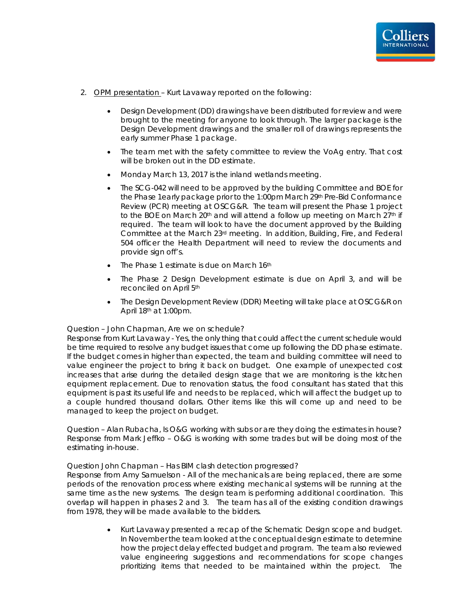

- 2. OPM presentation Kurt Lavaway reported on the following:
	- Design Development (DD) drawings have been distributed for review and were brought to the meeting for anyone to look through. The larger package is the Design Development drawings and the smaller roll of drawings represents the early summer Phase 1 package.
	- The team met with the safety committee to review the VoAg entry. That cost will be broken out in the DD estimate.
	- Monday March 13, 2017 is the inland wetlands meeting.
	- The SCG-042 will need to be approved by the building Committee and BOE for the Phase 1early package prior to the 1:00pm March 29<sup>th</sup> Pre-Bid Conformance Review (PCR) meeting at OSCG&R. The team will present the Phase 1 project to the BOE on March  $20<sup>th</sup>$  and will attend a follow up meeting on March  $27<sup>th</sup>$  if required. The team will look to have the document approved by the Building Committee at the March 23rd meeting. In addition, Building, Fire, and Federal 504 officer the Health Department will need to review the documents and provide sign off's.
	- The Phase 1 estimate is due on March 16th
	- The Phase 2 Design Development estimate is due on April 3, and will be reconciled on April 5th
	- The Design Development Review (DDR) Meeting will take place at OSCG&R on April 18th at 1:00pm.

#### Question – John Chapman, Are we on schedule?

*Response from Kurt Lavaway - Yes, the only thing that could affect the current schedule would be time required to resolve any budget issues that come up following the DD phase estimate. If the budget comes in higher than expected, the team and building committee will need to value engineer the project to bring it back on budget. One example of unexpected cost increases that arise during the detailed design stage that we are monitoring is the kitchen equipment replacement. Due to renovation status, the food consultant has stated that this equipment is past its useful life and needs to be replaced, which will affect the budget up to a couple hundred thousand dollars. Other items like this will come up and need to be managed to keep the project on budget.* 

Question – Alan Rubacha, Is O&G working with subs or are they doing the estimates in house? *Response from Mark Jeffko – O&G is working with some trades but will be doing most of the estimating in-house.*

#### Question John Chapman – Has BIM clash detection progressed?

*Response from Amy Samuelson - All of the mechanicals are being replaced, there are some*  periods of the renovation process where existing mechanical systems will be running at the *same time as the new systems. The design team is performing additional coordination. This overlap will happen in phases 2 and 3. The team has all of the existing condition drawings from 1978, they will be made available to the bidders.* 

> Kurt Lavaway presented a recap of the Schematic Design scope and budget. In November the team looked at the conceptual design estimate to determine how the project delay effected budget and program. The team also reviewed value engineering suggestions and recommendations for scope changes prioritizing items that needed to be maintained within the project. The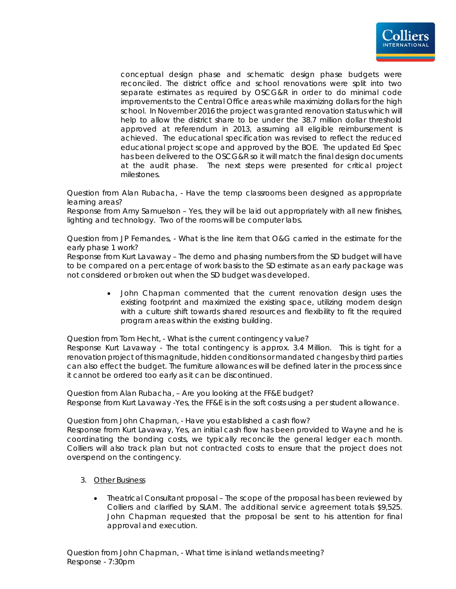

conceptual design phase and schematic design phase budgets were reconciled. The district office and school renovations were split into two separate estimates as required by OSCG&R in order to do minimal code improvements to the Central Office areas while maximizing dollars for the high school. In November 2016 the project was granted renovation status which will help to allow the district share to be under the 38.7 million dollar threshold approved at referendum in 2013, assuming all eligible reimbursement is achieved. The educational specification was revised to reflect the reduced educational project scope and approved by the BOE. The updated Ed Spec has been delivered to the OSCG&R so it will match the final design documents at the audit phase. The next steps were presented for critical project milestones.

Question from Alan Rubacha, - Have the temp classrooms been designed as appropriate learning areas?

*Response from Amy Samuelson – Yes, they will be laid out appropriately with all new finishes, lighting and technology. Two of the rooms will be computer labs.*

Question from JP Fernandes, - What is the line item that O&G carried in the estimate for the early phase 1 work?

*Response from Kurt Lavaway – The demo and phasing numbers from the SD budget will have to be compared on a percentage of work basis to the SD estimate as an early package was not considered or broken out when the SD budget was developed*.

> John Chapman commented that the current renovation design uses the existing footprint and maximized the existing space, utilizing modern design with a culture shift towards shared resources and flexibility to fit the required program areas within the existing building.

Question from Tom Hecht, - What is the current contingency value?

*Response Kurt Lavaway - The total contingency is approx. 3.4 Million. This is tight for a renovation project of this magnitude, hidden conditions or mandated changes by third parties can also effect the budget. The furniture allowances will be defined later in the process since it cannot be ordered too early as it can be discontinued.* 

Question from Alan Rubacha, – Are you looking at the FF&E budget? *Response from Kurt Lavaway -Yes, the FF&E is in the soft costs using a per student allowance.* 

Question from John Chapman, - Have you established a cash flow?

*Response from Kurt Lavaway, Yes, an initial cash flow has been provided to Wayne and he is coordinating the bonding costs, we typically reconcile the general ledger each month. Colliers will also track plan but not contracted costs to ensure that the project does not overspend on the contingency.* 

- 3. Other Business
	- Theatrical Consultant proposal The scope of the proposal has been reviewed by Colliers and clarified by SLAM. The additional service agreement totals \$9,525. John Chapman requested that the proposal be sent to his attention for final approval and execution.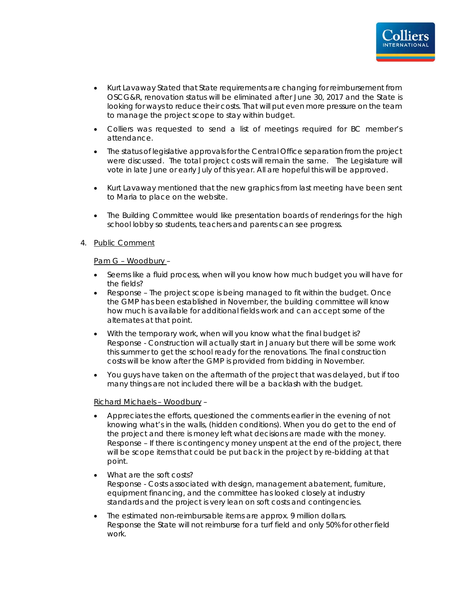

- Kurt Lavaway Stated that State requirements are changing for reimbursement from OSCG&R, renovation status will be eliminated after June 30, 2017 and the State is looking for ways to reduce their costs. That will put even more pressure on the team to manage the project scope to stay within budget.
- Colliers was requested to send a list of meetings required for BC member's attendance.
- The status of legislative approvals for the Central Office separation from the project were discussed. The total project costs will remain the same. The Legislature will vote in late June or early July of this year. All are hopeful this will be approved.
- Kurt Lavaway mentioned that the new graphics from last meeting have been sent to Maria to place on the website.
- The Building Committee would like presentation boards of renderings for the high school lobby so students, teachers and parents can see progress.

#### 4. Public Comment

#### Pam G – Woodbury –

- Seems like a fluid process, when will you know how much budget you will have for the fields?
- *Response The project scope is being managed to fit within the budget. Once the GMP has been established in November, the building committee will know how much is available for additional fields work and can accept some of the alternates at that point.*
- With the temporary work, when will you know what the final budget is? *Response - Construction will actually start in January but there will be some work this summer to get the school ready for the renovations. The final construction costs will be know after the GMP is provided from bidding in November.*
- You guys have taken on the aftermath of the project that was delayed, but if too many things are not included there will be a backlash with the budget.

#### Richard Michaels – Woodbury –

- Appreciates the efforts, questioned the comments earlier in the evening of not knowing what's in the walls, (hidden conditions). When you do get to the end of the project and there is money left what decisions are made with the money. *Response – If there is contingency money unspent at the end of the project, there will be scope items that could be put back in the project by re-bidding at that point.*
- What are the soft costs? *Response - Costs associated with design, management abatement, furniture, equipment financing, and the committee has looked closely at industry standards and the project is very lean on soft costs and contingencies*.
- The estimated non-reimbursable items are approx. 9 million dollars. *Response the State will not reimburse for a turf field and only 50% for other field work.*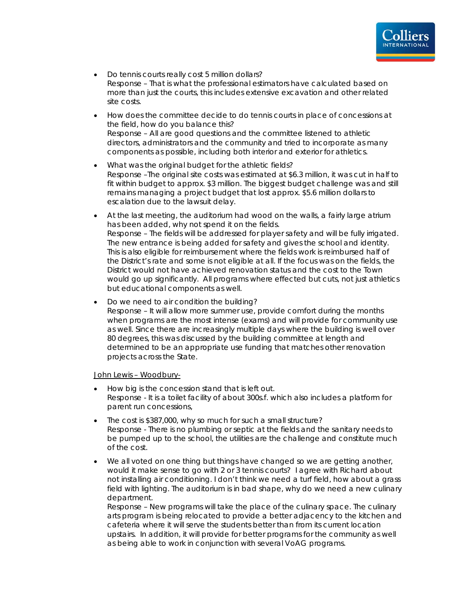

- Do tennis courts really cost 5 million dollars? *Response – That is what the professional estimators have calculated based on more than just the courts, this includes extensive excavation and other related site costs.*
- How does the committee decide to do tennis courts in place of concessions at the field, how do you balance this? *Response – All are good questions and the committee listened to athletic directors, administrators and the community and tried to incorporate as many components as possible, including both interior and exterior for athletics.*
- What was the original budget for the athletic fields? *Response –The original site costs was estimated at \$6.3 million, it was cut in half to*  fit within budget to approx. \$3 million. The biggest budget challenge was and still remains managing a project budget that lost approx. \$5.6 million dollars to escalation due to the lawsuit delay.
- At the last meeting, the auditorium had wood on the walls, a fairly large atrium has been added, why not spend it on the fields. *Response – The fields will be addressed for player safety and will be fully irrigated. The new entrance is being added for safety and gives the school and identity.*  This is also eligible for reimbursement where the fields work is reimbursed half of *the District's rate and some is not eligible at all. If the focus was on the fields, the District would not have achieved renovation status and the cost to the Town would go up significantly. All programs where effected but cuts, not just athletics but educational components as well.*
- Do we need to air condition the building? *Response – It will allow more summer use, provide comfort during the months when programs are the most intense (exams) and will provide for community use as well. Since there are increasingly multiple days where the building is well over 80 degrees*, this was discussed by the building committee at length and determined to be an appropriate use funding that matches other renovation projects across the State.

John Lewis - Woodbury-

- How big is the concession stand that is left out. *Response - It is a toilet facility of about 300s.f. which also includes a platform for parent run concessions,*
- The cost is \$387,000, why so much for such a small structure? *Response - There is no plumbing or septic at the fields and the sanitary needs to be pumped up to the school, the utilities are the challenge* and constitute much of the cost.
- We all voted on one thing but things have changed so we are getting another, would it make sense to go with 2 or 3 tennis courts? I agree with Richard about not installing air conditioning. I don't think we need a turf field, how about a grass field with lighting. The auditorium is in bad shape, why do we need a new culinary department.

*Response – New programs will take the place of the culinary space. The culinary arts program is being relocated to provide a better adjacency to the kitchen and cafeteria where it will serve the students better than from its current location upstairs. In addition, it will provide for better programs for the community as well as being able to work in conjunction with several VoAG programs.*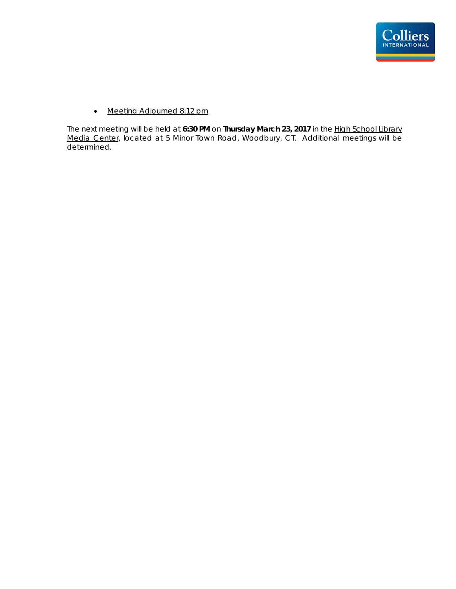

• Meeting Adjourned 8:12 pm

The next meeting will be held at **6:30 PM** on **Thursday March 23, 2017** in the High School Library Media Center, located at 5 Minor Town Road, Woodbury, CT. Additional meetings will be determined.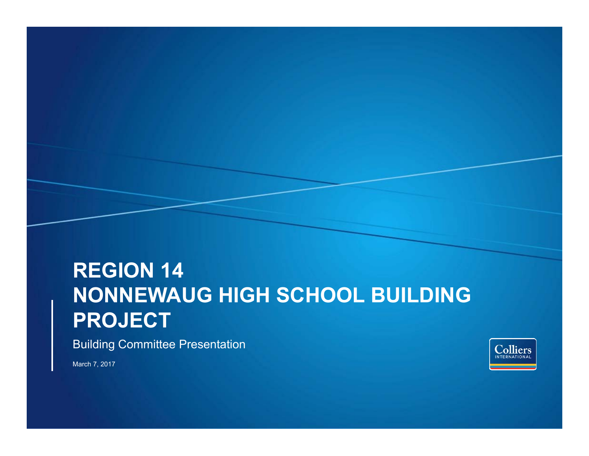# **REGION 14 NONNEWAUG HIGH SCHOOL BUILDING PROJECT**

Building Committee Presentation

March 7, 2017

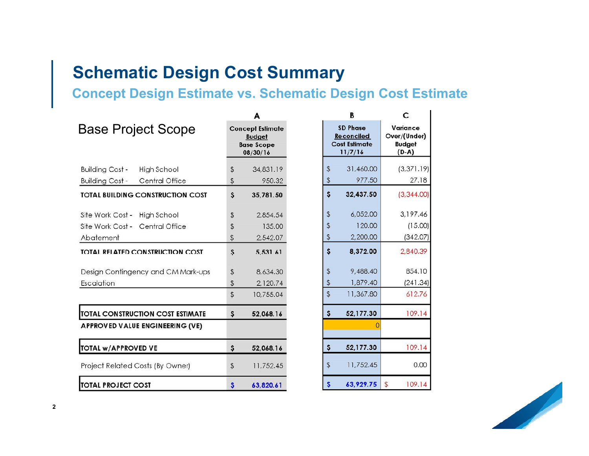## **Schematic Design Cost Summary**

### **Concept Design Estimate vs. Schematic Design Cost Estimate**

|                                          |    | A                                                                         |                | в                                                                       | С                                                    |
|------------------------------------------|----|---------------------------------------------------------------------------|----------------|-------------------------------------------------------------------------|------------------------------------------------------|
| <b>Base Project Scope</b>                |    | <b>Concept Estimate</b><br><b>Budget</b><br><b>Base Scope</b><br>08/30/16 |                | <b>SD Phase</b><br><b>Reconciled</b><br><b>Cost Estimate</b><br>11/7/16 | Variance<br>Over/(Under)<br><b>Budget</b><br>$(D-A)$ |
| <b>Building Cost -</b><br>High School    | \$ | 34,831.19                                                                 | $\sqrt[6]{2}$  | 31,460.00                                                               | (3, 371.19)                                          |
| <b>Building Cost -</b><br>Central Office | \$ | 950.32                                                                    | \$             | 977.50                                                                  | 27.18                                                |
| <b>TOTAL BUILDING CONSTRUCTION COST</b>  | \$ | 35,781.50                                                                 | \$             | 32,437.50                                                               | (3,344.00)                                           |
| Site Work Cost -<br><b>High School</b>   | \$ | 2,854.54                                                                  | $\frac{1}{2}$  | 6,052.00                                                                | 3,197.46                                             |
| Site Work Cost -<br>Central Office       | \$ | 135.00                                                                    | \$             | 120.00                                                                  | (15.00)                                              |
| Abatement                                | \$ | 2,542.07                                                                  | $\updownarrow$ | 2,200.00                                                                | (342.07)                                             |
| <b>TOTAL RELATED CONSTRUCTION COST</b>   | Ş  | 5,531.61                                                                  | \$             | 8,372.00                                                                | 2,840.39                                             |
| Design Contingency and CM Mark-ups       | \$ | 8,634.30                                                                  | $\frac{4}{5}$  | 9,488.40                                                                | 854.10                                               |
| Escalation                               | \$ | 2,120.74                                                                  | \$             | 1,879.40                                                                | (241.34)                                             |
|                                          | \$ | 10,755.04                                                                 | $\mathfrak{P}$ | 11,367.80                                                               | 612.76                                               |
| <b>TOTAL CONSTRUCTION COST ESTIMATE</b>  | \$ | 52,068.16                                                                 | \$             | 52,177.30                                                               | 109.14                                               |
| APPROVED VALUE ENGINEERING (VE)          |    |                                                                           |                |                                                                         |                                                      |
| TOTAL w/APPROVED VE                      | \$ | 52,068.16                                                                 | \$.            | 52,177.30                                                               | 109.14                                               |
| Project Related Costs (By Owner)         | \$ | 11,752.45                                                                 | $\frac{1}{2}$  | 11,752.45                                                               | 0.00                                                 |
| <b>TOTAL PROJECT COST</b>                | Ş  | 63,820.61                                                                 | \$             | 63,929.75                                                               | \$<br>109.14                                         |

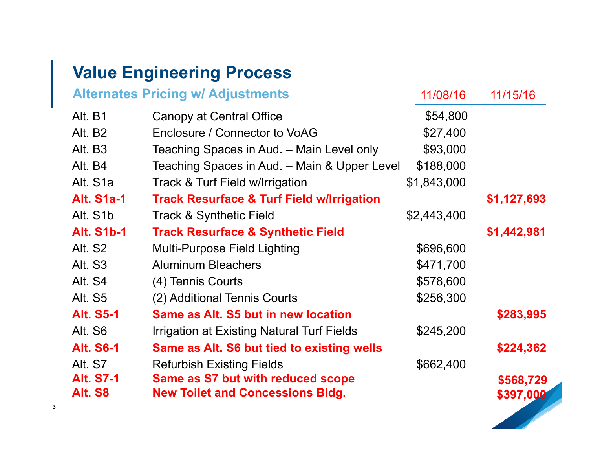## **Value Engineering Process**

|                     | <b>Alternates Pricing w/ Adjustments</b>             | 11/08/16    | 11/15/16    |
|---------------------|------------------------------------------------------|-------------|-------------|
| Alt. B1             | Canopy at Central Office                             | \$54,800    |             |
| Alt. B <sub>2</sub> | Enclosure / Connector to VoAG                        | \$27,400    |             |
| Alt. B3             | Teaching Spaces in Aud. – Main Level only            | \$93,000    |             |
| Alt. B4             | Teaching Spaces in Aud. - Main & Upper Level         | \$188,000   |             |
| Alt. S1a            | Track & Turf Field w/Irrigation                      | \$1,843,000 |             |
| <b>Alt. S1a-1</b>   | <b>Track Resurface &amp; Turf Field w/Irrigation</b> |             | \$1,127,693 |
| Alt. S1b            | <b>Track &amp; Synthetic Field</b>                   | \$2,443,400 |             |
| <b>Alt. S1b-1</b>   | <b>Track Resurface &amp; Synthetic Field</b>         |             | \$1,442,981 |
| Alt. S2             | <b>Multi-Purpose Field Lighting</b>                  | \$696,600   |             |
| Alt. S3             | <b>Aluminum Bleachers</b>                            | \$471,700   |             |
| Alt. S4             | (4) Tennis Courts                                    | \$578,600   |             |
| Alt. S5             | (2) Additional Tennis Courts                         | \$256,300   |             |
| <b>Alt. S5-1</b>    | Same as Alt. S5 but in new location                  |             | \$283,995   |
| Alt. S6             | <b>Irrigation at Existing Natural Turf Fields</b>    | \$245,200   |             |
| <b>Alt. S6-1</b>    | Same as Alt. S6 but tied to existing wells           |             | \$224,362   |
| Alt. S7             | <b>Refurbish Existing Fields</b>                     | \$662,400   |             |
| <b>Alt. S7-1</b>    | Same as S7 but with reduced scope                    |             | \$568,729   |
| Alt. S8             | <b>New Toilet and Concessions Bldg.</b>              |             | \$397,000   |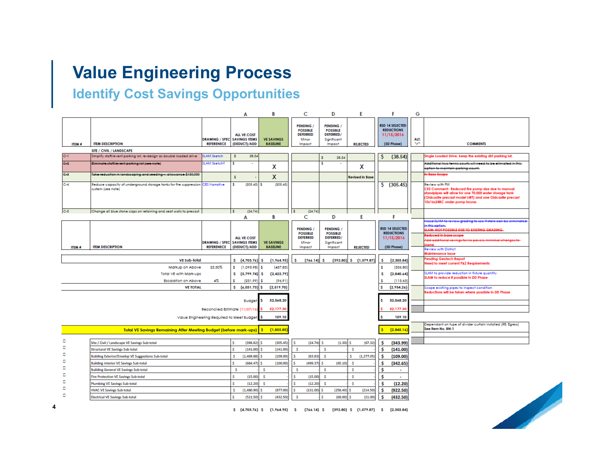## **Value Engineering Process**

## **Identify Cost Savings Opportunities**

|               |                                                                                                      |                                                          | A                                  | В                                    | C                                                                         | D                                                                         | E                          | F                                                                       | G           |                                                                                                                                                                                                                           |
|---------------|------------------------------------------------------------------------------------------------------|----------------------------------------------------------|------------------------------------|--------------------------------------|---------------------------------------------------------------------------|---------------------------------------------------------------------------|----------------------------|-------------------------------------------------------------------------|-------------|---------------------------------------------------------------------------------------------------------------------------------------------------------------------------------------------------------------------------|
| <b>ITEM #</b> | <b>ITEM DESCRIPTION</b>                                                                              | <b>DRAWING / SPEC SAVINGS ITEMS</b><br><b>REFERENECE</b> | <b>ALL VE COST</b><br>(DEDUCT)/ADD | <b>VE SAVINGS</b><br><b>BASELINE</b> | <b>PENDING /</b><br><b>POSSIBLE</b><br><b>DEFERRED</b><br>Minor<br>Impact | <b>PENDING /</b><br><b>POSSIBLE</b><br>DEFERRED/<br>Significant<br>Impact | <b>REJECTED</b>            | <b>RSD 14 SELECTED</b><br><b>REDUCTIONS</b><br>11/15/2016<br>(SD Phase) | ALT.<br>سي≖ | <b>COMMENTS</b>                                                                                                                                                                                                           |
|               | SITE / CIVIL / LANDSCAPE                                                                             |                                                          |                                    |                                      |                                                                           |                                                                           |                            |                                                                         |             |                                                                                                                                                                                                                           |
| $C-1$         | Simplify staff/event parking lot, re-design as double loaded drive                                   | <b>SLAM Sketch</b>                                       | 38.54<br>s.                        |                                      |                                                                           | 38.54                                                                     |                            | (38.54)<br>s                                                            |             | Single Loaded Drive, keep the existing dirt parking lot.                                                                                                                                                                  |
| $C-2$         | Eliminate staff/event parking lot (see note)                                                         | <b>SLAM Sketch?</b>                                      |                                    | x                                    |                                                                           |                                                                           | x                          |                                                                         |             | Additional two tennic courts will need to be elimiated in this<br>option to maintain parking count,                                                                                                                       |
| $C-2$         | Take reduction in landscaping and reeding - allowance \$150,000                                      |                                                          | š.                                 | X                                    |                                                                           |                                                                           | <b>Revised in Base</b>     |                                                                         |             | n Base Seope                                                                                                                                                                                                              |
| $C-4$         | Reduce capacity of underground storage tanks for fire suppression CES Narrative<br>system (see note) |                                                          | (305.45)                           | (305.45)                             |                                                                           |                                                                           |                            | (305.45)<br>S.                                                          |             | Review with FM<br>CES Comment: Reduced fire pump size due to manual<br>standpipes will allow for one 70,000 water storage tank<br>(Oldcastle precast model LWT) and one Oldcastle precast<br>10x16x24RC under pump house. |
| $C-5$         | Change all blue stone caps on retaining and seat walls to precast                                    |                                                          | (24.74)                            |                                      | (24.74)                                                                   |                                                                           |                            |                                                                         |             |                                                                                                                                                                                                                           |
|               |                                                                                                      |                                                          | A                                  | В                                    | C                                                                         | D                                                                         | E                          | F                                                                       |             | <u>Need SLAM to review grading to see if stain can be climinated</u>                                                                                                                                                      |
|               |                                                                                                      | <b>DRAWING / SPEC SAVINGS ITEMS</b>                      | <b>ALL VE COST</b>                 | <b>VE SAVINGS</b>                    | <b>PENDING</b><br><b>POSSIBLE</b><br><b>DEFERRED</b><br>Minor             | <b>PENDING /</b><br><b>POSSIBLE</b><br>DEFERRED/<br>Significant           |                            | <b>RSD 14 SELECTED</b><br><b>REDUCTIONS</b><br>11/15/2016               |             | Hicaption<br>SLAM: NOT POSSIBLE DUE TO EXISTING GRADING.<br>teduced in base scope                                                                                                                                         |
| <b>ITEM #</b> | <b>ITEM DESCRIPTION</b>                                                                              | <b>REFERENECE</b>                                        | (DEDUCT)/ADD                       | <b>BASELINE</b>                      | Impact                                                                    | Impact                                                                    | <b>REJECTED</b>            | (SD Phase)                                                              |             | Review with District                                                                                                                                                                                                      |
|               |                                                                                                      |                                                          |                                    |                                      |                                                                           |                                                                           |                            |                                                                         |             | <b>Maintenance Issue</b>                                                                                                                                                                                                  |
|               | <b>VE Sub-fotal</b>                                                                                  |                                                          | s.<br>(4,703.76)                   | (1.964.95)<br>∣\$                    | (766.14)<br>Ŝ                                                             | -S                                                                        | $(392.80)$ \$ $(1,579.87)$ | (2,303.84)<br>Ŝ                                                         |             | Pending Geolech Report<br>Need to meet current P&Z Requirements                                                                                                                                                           |
|               | Markup on Above                                                                                      | 23.30%                                                   | s.<br>(1,095.98)                   | [457.83]<br>- 5                      |                                                                           |                                                                           |                            | Ś.<br>(536.80                                                           |             |                                                                                                                                                                                                                           |
|               | <b>Total VE with Mark-ups</b>                                                                        |                                                          | $(5.799.74)$ \$<br>s.              | (2.422.79)                           |                                                                           |                                                                           |                            | Ŝ<br>(2.840.64)                                                         |             | SLAM to provide reduction in fixture quantity<br>SLAM to reduce if possible in DD Phase                                                                                                                                   |
|               | <b>Escalation on Above</b>                                                                           | 4%                                                       | ¢<br>(231.99)                      | (96.91)                              |                                                                           |                                                                           |                            | (113.63)<br>s                                                           |             |                                                                                                                                                                                                                           |
|               | <b>VE TOTAL</b>                                                                                      |                                                          | S.<br>$(6,031.73)$ \$              | (2,519.70)                           |                                                                           |                                                                           |                            | (2,954.26)<br>Ś                                                         |             | Scope existing pipes to inspect condition<br>Reductions will be taken where possible in DD Phase                                                                                                                          |
|               |                                                                                                      |                                                          |                                    |                                      |                                                                           |                                                                           |                            |                                                                         |             |                                                                                                                                                                                                                           |
|               |                                                                                                      |                                                          | <b>Budget</b>                      | 52.068.20<br>s                       |                                                                           |                                                                           |                            | 52,068.20<br>s                                                          |             |                                                                                                                                                                                                                           |
|               |                                                                                                      | Reconciled Estimate (11/07/16                            |                                    | 52,177.30                            |                                                                           |                                                                           |                            | 52,177.3                                                                |             |                                                                                                                                                                                                                           |
|               |                                                                                                      | Value Engineering Required to Meet Budget                |                                    | 109.10                               |                                                                           |                                                                           |                            | 109.10                                                                  |             |                                                                                                                                                                                                                           |
|               |                                                                                                      |                                                          |                                    |                                      |                                                                           |                                                                           |                            |                                                                         |             | Dependant on type of divider curtain installed (RE: Egress)                                                                                                                                                               |
|               | Total VE Savings Remaining After Meeting Budget (before mark-ups)                                    |                                                          |                                    | <b>s</b><br>(1,855.85)               |                                                                           |                                                                           |                            | [2.845.16]                                                              |             | See item No. BN-1                                                                                                                                                                                                         |
|               |                                                                                                      |                                                          |                                    |                                      |                                                                           |                                                                           |                            |                                                                         |             |                                                                                                                                                                                                                           |
| о             | Site / Civil / Landscape VE Savings Sub-total                                                        |                                                          | Ŝ<br>$(398.82)$ S                  | (305.45)                             | $(24.74)$ S<br>Ŝ                                                          | $(1.30)$ \$                                                               | (67.32)                    | \$<br>(343.99)                                                          |             |                                                                                                                                                                                                                           |
| o             | <b>Structural VE Savings Sub-total</b>                                                               |                                                          | (141.00)                           | (141.00)                             | -Ś                                                                        | -S                                                                        | Ŝ                          | Ś<br>(141.00)                                                           |             |                                                                                                                                                                                                                           |
| о             | <b>Building Exterior/Envelop VE Suggestions Sub-total</b>                                            |                                                          | Ś<br>(1.469.88)                    | (109.00)                             | Ŝ<br>(83.83)                                                              | Š.                                                                        | Š.<br>(1, 277.05)          | \$<br>(109.00)                                                          |             |                                                                                                                                                                                                                           |
| ۵             | <b>Building Interior VE Savings Sub-total</b>                                                        |                                                          | Ŝ<br>$(664.47)$ S                  | (100.00)                             | $(499.37)$ \$<br>Ŝ                                                        | (65.10)                                                                   | Š.                         | \$<br>(342.65)                                                          |             |                                                                                                                                                                                                                           |
| о             | <b>Building General VE Savings Sub-total</b>                                                         |                                                          | Ŝ                                  | s.                                   | s                                                                         | -S                                                                        | \$.                        | \$<br>$\blacksquare$                                                    |             |                                                                                                                                                                                                                           |
| о             | <b>Fire Protection VE Savings Sub-total</b>                                                          |                                                          | ¢<br>(15.00)                       | Š.                                   | ×.<br>(15.00)                                                             | -\$                                                                       | Ŝ                          | Ś<br>٠                                                                  |             |                                                                                                                                                                                                                           |
| о             | <b>Plumbing VE Savings Sub-total</b>                                                                 |                                                          | (12.20)                            | <b>&lt;</b>                          | ×.<br>(12.20)                                                             | -Ś                                                                        | Ŝ                          | Ś<br>(12.20)                                                            |             |                                                                                                                                                                                                                           |
| п             | <b>HVAC VE Savings Sub-total</b>                                                                     |                                                          | $(1,480.90)$ \$<br>s               | (877.00)                             | (131.00)<br><b>S</b>                                                      | $(258.40)$ \$                                                             | (214.50)                   | Ś<br>(922.50)                                                           |             |                                                                                                                                                                                                                           |
| о             | <b>Electrical VE Savings Sub-total</b>                                                               |                                                          | $(521.50)$ \$                      | (432.50)                             | Ŝ                                                                         | $(68,00)$ \$<br>Ŝ                                                         | (21.00)                    | \$<br>(432.50)                                                          |             |                                                                                                                                                                                                                           |



 $(4,703.76)$   $(1,764.75)$   $(766.14)$   $(392.80)$   $(1,577.87)$   $(2,303.84)$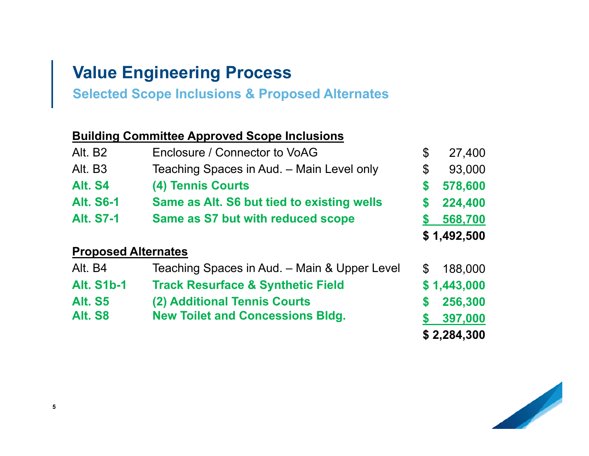## **Value Engineering Process**

**Selected Scope Inclusions & Proposed Alternates**

### **Building Committee Approved Scope Inclusions**

| Alt. B <sub>2</sub>        | Enclosure / Connector to VoAG                | \$ | 27,400      |
|----------------------------|----------------------------------------------|----|-------------|
| Alt. B3                    | Teaching Spaces in Aud. - Main Level only    | \$ | 93,000      |
| Alt. S4                    | (4) Tennis Courts                            | \$ | 578,600     |
| <b>Alt. S6-1</b>           | Same as Alt. S6 but tied to existing wells   | \$ | 224,400     |
| <b>Alt. S7-1</b>           | Same as S7 but with reduced scope            |    | 568,700     |
|                            |                                              |    | \$1,492,500 |
| <b>Proposed Alternates</b> |                                              |    |             |
| Alt. B4                    | Teaching Spaces in Aud. - Main & Upper Level | S  | 188,000     |
| <b>Alt. S1b-1</b>          | <b>Track Resurface &amp; Synthetic Field</b> |    | \$1,443,000 |
| <b>Alt. S5</b>             | (2) Additional Tennis Courts                 | \$ | 256,300     |
| Alt. S8                    | <b>New Toilet and Concessions Bldg.</b>      |    | 397,000     |
|                            |                                              |    | \$2,284,300 |

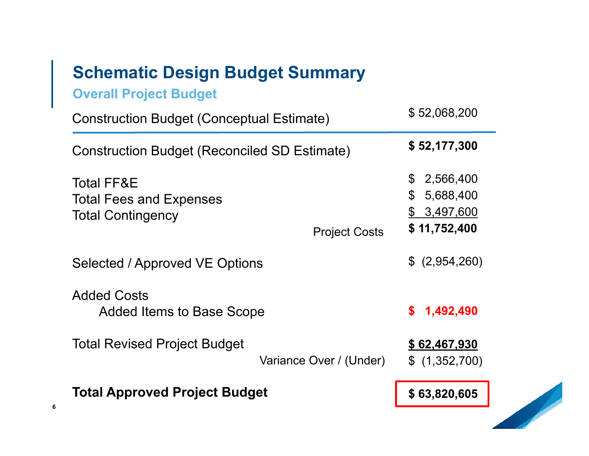## **Schematic Design Budget Summary**

**Overall Project Budget**

**6**

| <b>Construction Budget (Conceptual Estimate)</b>                                                            | \$52,068,200                                                                      |
|-------------------------------------------------------------------------------------------------------------|-----------------------------------------------------------------------------------|
| <b>Construction Budget (Reconciled SD Estimate)</b>                                                         | \$52,177,300                                                                      |
| <b>Total FF&amp;E</b><br><b>Total Fees and Expenses</b><br><b>Total Contingency</b><br><b>Project Costs</b> | $\mathfrak{S}$<br>2,566,400<br>\$<br>5,688,400<br>3,497,600<br>\$<br>\$11,752,400 |
| Selected / Approved VE Options                                                                              | \$ (2,954,260)                                                                    |
| <b>Added Costs</b><br><b>Added Items to Base Scope</b>                                                      | 1,492,490<br>\$                                                                   |
| <b>Total Revised Project Budget</b><br>Variance Over / (Under)                                              | \$62,467,930<br>\$(1,352,700)                                                     |
| <b>Total Approved Project Budget</b>                                                                        | \$63,820,605                                                                      |

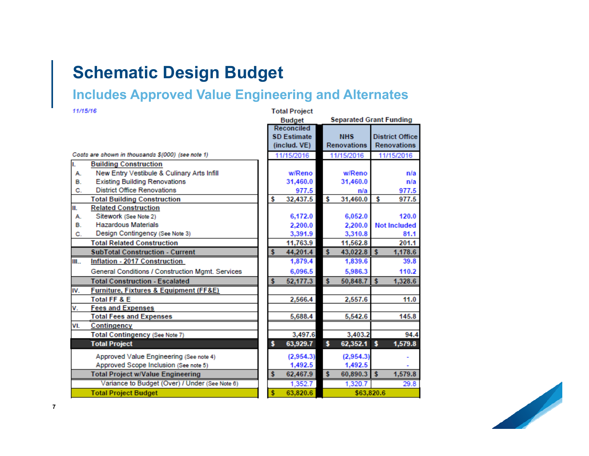## **Schematic Design Budget**

### **Includes Approved Value Engineering and Alternates**

| 11/15/16 |                                                       |    | <b>Total Project</b> |    |                                |              |                        |
|----------|-------------------------------------------------------|----|----------------------|----|--------------------------------|--------------|------------------------|
|          |                                                       |    | <b>Budget</b>        |    | <b>Separated Grant Funding</b> |              |                        |
|          |                                                       |    | Reconciled           |    |                                |              |                        |
|          |                                                       |    | <b>SD Estimate</b>   |    | <b>NHS</b>                     |              | <b>District Office</b> |
|          |                                                       |    | (includ. VE)         |    | <b>Renovations</b>             |              | <b>Renovations</b>     |
|          | Costs are shown in thousands \$(000) (see note 1)     |    | 11/15/2016           |    | 11/15/2016                     |              | 11/15/2016             |
| ī.       | <b>Building Construction</b>                          |    |                      |    |                                |              |                        |
| А.       | New Entry Vestibule & Culinary Arts Infill            |    | w/Reno               |    | w/Reno                         |              | n/a                    |
| в.       | <b>Existing Building Renovations</b>                  |    | 31,460.0             |    | 31,460.0                       |              | n/a                    |
| C.       | <b>District Office Renovations</b>                    |    | 977.5                |    | n/a                            |              | 977.5                  |
|          | <b>Total Building Construction</b>                    | \$ | 32,437.5             | s  | 31,460.0                       | s            | 977.5                  |
| II.      | <b>Related Construction</b>                           |    |                      |    |                                |              |                        |
| А.       | Sitework (See Note 2)                                 |    | 6,172.0              |    | 6,052.0                        |              | 120.0                  |
| в.       | <b>Hazardous Materials</b>                            |    | 2,200.0              |    | 2,200.0                        |              | <b>Not Included</b>    |
| C.       | Design Contingency (See Note 3)                       |    | 3,391.9              |    | 3,310.8                        |              | 81.1                   |
|          | <b>Total Related Construction</b>                     |    | 11,763.9             |    | 11,562.8                       |              | 201.1                  |
|          | <b>SubTotal Construction - Current</b>                | s  | 44,201.4             | s  | 43,022.8                       | $\mathbf{s}$ | 1,178.6                |
| III      | <b>Inflation - 2017 Construction</b>                  |    | 1,879.4              |    | 1,839.6                        |              | 39.8                   |
|          | General Conditions / Construction Mgmt. Services      |    | 6,096.5              |    | 5,986.3                        |              | 110.2                  |
|          | <b>Total Construction - Escalated</b>                 | \$ | 52,177.3             | s  | 50,848.7                       | $\mathbf{s}$ | 1,328.6                |
| IV.      | <b>Furniture, Fixtures &amp; Equipment (FF&amp;E)</b> |    |                      |    |                                |              |                        |
|          | <b>Total FF &amp; E</b>                               |    | 2,566.4              |    | 2,557.6                        |              | 11.0                   |
| v.       | <b>Fees and Expenses</b>                              |    |                      |    |                                |              |                        |
|          | <b>Total Fees and Expenses</b>                        |    | 5,688.4              |    | 5,542.6                        |              | 145.8                  |
| VI.      | Contingency                                           |    |                      |    |                                |              |                        |
|          | Total Contingency (See Note 7)                        |    | 3,497.6              |    | 3,403.2                        |              | 94.4                   |
|          | <b>Total Project</b>                                  | \$ | 63,929.7             | \$ | 62,352.1                       | s            | 1,579.8                |
|          | Approved Value Engineering (See note 4)               |    | (2,954.3)            |    | (2,954.3)                      |              |                        |
|          | Approved Scope Inclusion (See note 5)                 |    | 1,492.5              |    | 1,492.5                        |              |                        |
|          | <b>Total Project w/Value Engineering</b>              | \$ | 62,467.9             | s  | 60,890.3                       | <b>S</b>     | 1,579.8                |
|          | Variance to Budget (Over) / Under (See Note 6)        |    | 1,352.7              |    | 1,320.7                        |              | 29.8                   |
|          | <b>Total Project Budget</b>                           | Ś  | 63,820.6             |    | \$63,820.6                     |              |                        |

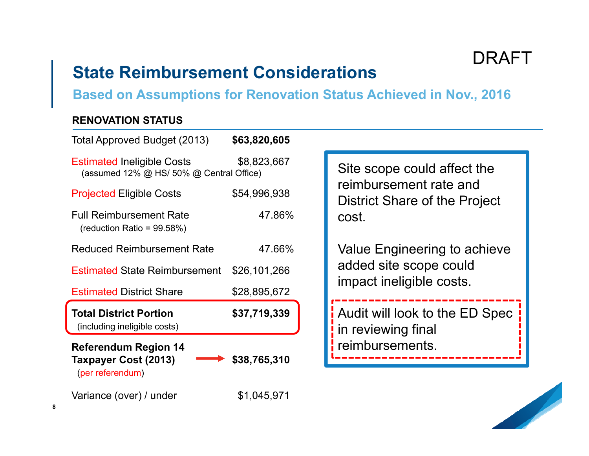DRAFT

## **State Reimbursement Considerations**

**Based on Assumptions for Renovation Status Achieved in Nov., 2016**

### **RENOVATION STATUS**

| \$63,820,605                                            |                                                                |
|---------------------------------------------------------|----------------------------------------------------------------|
| \$8,823,667<br>(assumed 12% @ HS/ 50% @ Central Office) | Site scope could affect the                                    |
| \$54,996,938                                            | reimbursement rate and<br><b>District Share of the Project</b> |
| 47.86%                                                  | cost.                                                          |
| 47.66%                                                  | Value Engineering to achieve                                   |
| <b>Estimated State Reimbursement</b><br>\$26,101,266    | added site scope could                                         |
| \$28,895,672                                            | impact ineligible costs.                                       |
| \$37,719,339                                            | Audit will look to the ED Spec<br>in reviewing final           |
| \$38,765,310                                            | reimbursements.                                                |
| \$1,045,971                                             |                                                                |
|                                                         |                                                                |



**8**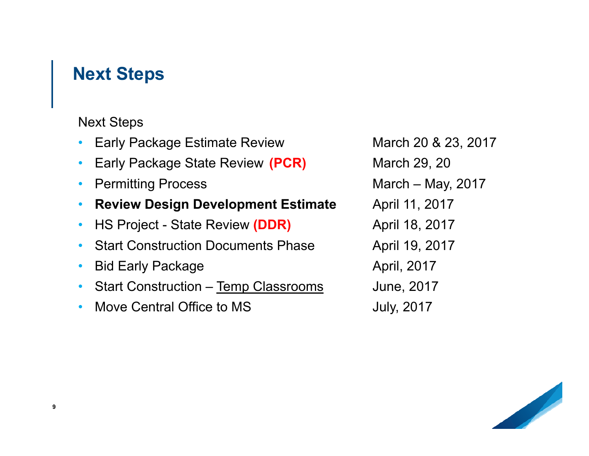## **Next Steps**

Next Steps

- •Early Package Estimate Review March 20 & 23, 2017
- •Early Package State Review (PCR) March 29, 20
- •
- •**Review Design Development Estimate April 11, 2017**
- •HS Project - State Review (DDR) April 18, 2017
- •Start Construction Documents Phase April 19, 2017
- $\bullet$ Bid Early Package **April**, 2017
- •Start Construction – Temp Classrooms June, 2017
- •Move Central Office to MS **July**, 2017

Permitting Process **March – May, 2017**